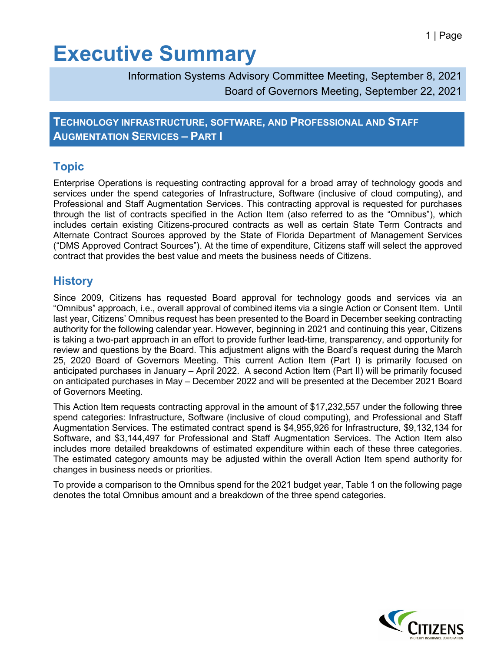# **Executive Summary**

Information Systems Advisory Committee Meeting, September 8, 2021 Board of Governors Meeting, September 22, 2021

**TECHNOLOGY INFRASTRUCTURE, SOFTWARE, AND PROFESSIONAL AND STAFF AUGMENTATION SERVICES – PART I**

### **Topic**

Enterprise Operations is requesting contracting approval for a broad array of technology goods and services under the spend categories of Infrastructure, Software (inclusive of cloud computing), and Professional and Staff Augmentation Services. This contracting approval is requested for purchases through the list of contracts specified in the Action Item (also referred to as the "Omnibus"), which includes certain existing Citizens-procured contracts as well as certain State Term Contracts and Alternate Contract Sources approved by the State of Florida Department of Management Services ("DMS Approved Contract Sources"). At the time of expenditure, Citizens staff will select the approved contract that provides the best value and meets the business needs of Citizens.

### **History**

Since 2009, Citizens has requested Board approval for technology goods and services via an "Omnibus" approach, i.e., overall approval of combined items via a single Action or Consent Item. Until last year, Citizens' Omnibus request has been presented to the Board in December seeking contracting authority for the following calendar year. However, beginning in 2021 and continuing this year, Citizens is taking a two-part approach in an effort to provide further lead-time, transparency, and opportunity for review and questions by the Board. This adjustment aligns with the Board's request during the March 25, 2020 Board of Governors Meeting. This current Action Item (Part I) is primarily focused on anticipated purchases in January – April 2022. A second Action Item (Part II) will be primarily focused on anticipated purchases in May – December 2022 and will be presented at the December 2021 Board of Governors Meeting.

This Action Item requests contracting approval in the amount of \$17,232,557 under the following three spend categories: Infrastructure, Software (inclusive of cloud computing), and Professional and Staff Augmentation Services. The estimated contract spend is \$4,955,926 for Infrastructure, \$9,132,134 for Software, and \$3,144,497 for Professional and Staff Augmentation Services. The Action Item also includes more detailed breakdowns of estimated expenditure within each of these three categories. The estimated category amounts may be adjusted within the overall Action Item spend authority for changes in business needs or priorities.

To provide a comparison to the Omnibus spend for the 2021 budget year, Table 1 on the following page denotes the total Omnibus amount and a breakdown of the three spend categories.

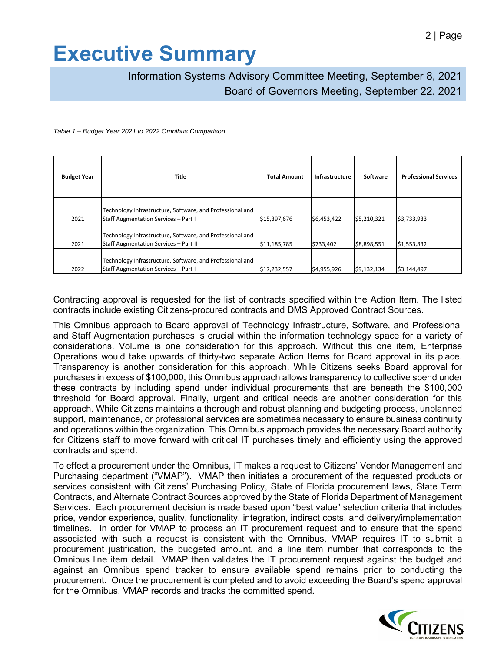# **Executive Summary**

Information Systems Advisory Committee Meeting, September 8, 2021 Board of Governors Meeting, September 22, 2021

#### *Table 1 – Budget Year 2021 to 2022 Omnibus Comparison*

| <b>Budget Year</b> | Title                                                                                                     | <b>Total Amount</b> | Infrastructure | Software    | <b>Professional Services</b> |
|--------------------|-----------------------------------------------------------------------------------------------------------|---------------------|----------------|-------------|------------------------------|
| 2021               | Technology Infrastructure, Software, and Professional and<br><b>Staff Augmentation Services - Part I</b>  | \$15,397,676        | \$6,453,422    | \$5,210,321 | \$3,733,933                  |
| 2021               | Technology Infrastructure, Software, and Professional and<br><b>Staff Augmentation Services - Part II</b> | \$11,185,785        | \$733,402      | \$8,898,551 | \$1,553,832                  |
| 2022               | Technology Infrastructure, Software, and Professional and<br><b>Staff Augmentation Services - Part I</b>  | \$17,232,557        | \$4,955,926    | \$9,132,134 | \$3,144,497                  |

Contracting approval is requested for the list of contracts specified within the Action Item. The listed contracts include existing Citizens-procured contracts and DMS Approved Contract Sources.

This Omnibus approach to Board approval of Technology Infrastructure, Software, and Professional and Staff Augmentation purchases is crucial within the information technology space for a variety of considerations. Volume is one consideration for this approach. Without this one item, Enterprise Operations would take upwards of thirty-two separate Action Items for Board approval in its place. Transparency is another consideration for this approach. While Citizens seeks Board approval for purchases in excess of \$100,000, this Omnibus approach allows transparency to collective spend under these contracts by including spend under individual procurements that are beneath the \$100,000 threshold for Board approval. Finally, urgent and critical needs are another consideration for this approach. While Citizens maintains a thorough and robust planning and budgeting process, unplanned support, maintenance, or professional services are sometimes necessary to ensure business continuity and operations within the organization. This Omnibus approach provides the necessary Board authority for Citizens staff to move forward with critical IT purchases timely and efficiently using the approved contracts and spend.

To effect a procurement under the Omnibus, IT makes a request to Citizens' Vendor Management and Purchasing department ("VMAP"). VMAP then initiates a procurement of the requested products or services consistent with Citizens' Purchasing Policy, State of Florida procurement laws, State Term Contracts, and Alternate Contract Sources approved by the State of Florida Department of Management Services. Each procurement decision is made based upon "best value" selection criteria that includes price, vendor experience, quality, functionality, integration, indirect costs, and delivery/implementation timelines. In order for VMAP to process an IT procurement request and to ensure that the spend associated with such a request is consistent with the Omnibus, VMAP requires IT to submit a procurement justification, the budgeted amount, and a line item number that corresponds to the Omnibus line item detail. VMAP then validates the IT procurement request against the budget and against an Omnibus spend tracker to ensure available spend remains prior to conducting the procurement. Once the procurement is completed and to avoid exceeding the Board's spend approval for the Omnibus, VMAP records and tracks the committed spend.

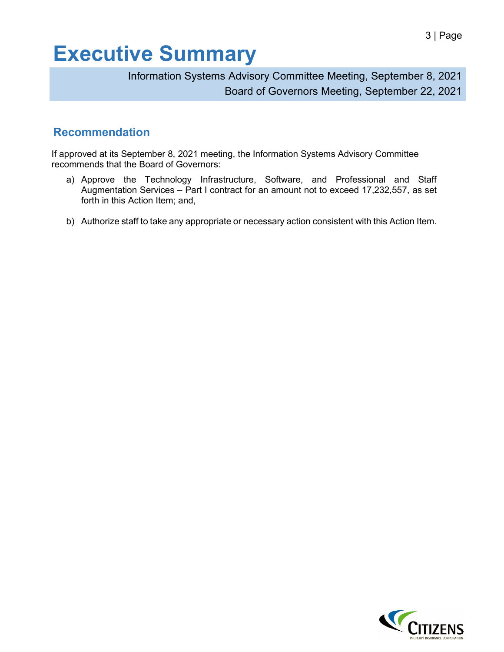# **Executive Summary**

Information Systems Advisory Committee Meeting, September 8, 2021 Board of Governors Meeting, September 22, 2021

## **Recommendation**

If approved at its September 8, 2021 meeting, the Information Systems Advisory Committee recommends that the Board of Governors:

- a) Approve the Technology Infrastructure, Software, and Professional and Staff Augmentation Services – Part I contract for an amount not to exceed 17,232,557, as set forth in this Action Item; and,
- b) Authorize staff to take any appropriate or necessary action consistent with this Action Item.

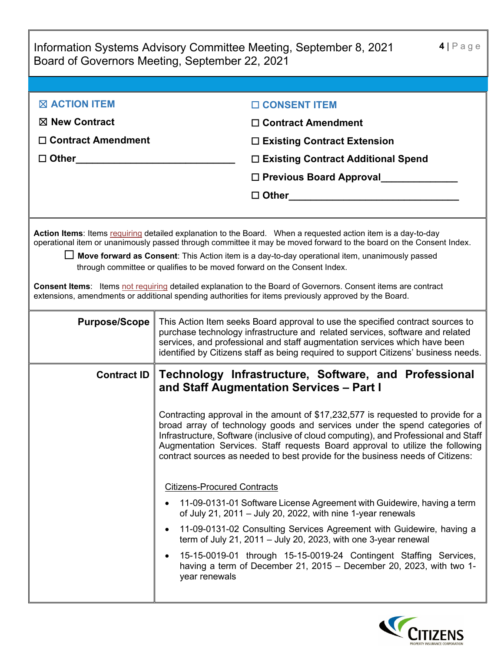|                                                                                                                                                                                                                                                                                                                                                                                                                                                                                                                                                                                                                                                       | $4 P$ age<br>Information Systems Advisory Committee Meeting, September 8, 2021<br>Board of Governors Meeting, September 22, 2021                                                                                                                                                                                                                                                                                         |  |  |  |
|-------------------------------------------------------------------------------------------------------------------------------------------------------------------------------------------------------------------------------------------------------------------------------------------------------------------------------------------------------------------------------------------------------------------------------------------------------------------------------------------------------------------------------------------------------------------------------------------------------------------------------------------------------|--------------------------------------------------------------------------------------------------------------------------------------------------------------------------------------------------------------------------------------------------------------------------------------------------------------------------------------------------------------------------------------------------------------------------|--|--|--|
|                                                                                                                                                                                                                                                                                                                                                                                                                                                                                                                                                                                                                                                       |                                                                                                                                                                                                                                                                                                                                                                                                                          |  |  |  |
| <b>EXACTION ITEM</b>                                                                                                                                                                                                                                                                                                                                                                                                                                                                                                                                                                                                                                  | □ CONSENT ITEM                                                                                                                                                                                                                                                                                                                                                                                                           |  |  |  |
| $\boxtimes$ New Contract                                                                                                                                                                                                                                                                                                                                                                                                                                                                                                                                                                                                                              | $\Box$ Contract Amendment                                                                                                                                                                                                                                                                                                                                                                                                |  |  |  |
| $\Box$ Contract Amendment                                                                                                                                                                                                                                                                                                                                                                                                                                                                                                                                                                                                                             | $\Box$ Existing Contract Extension                                                                                                                                                                                                                                                                                                                                                                                       |  |  |  |
| □ Other______________                                                                                                                                                                                                                                                                                                                                                                                                                                                                                                                                                                                                                                 | □ Existing Contract Additional Spend                                                                                                                                                                                                                                                                                                                                                                                     |  |  |  |
|                                                                                                                                                                                                                                                                                                                                                                                                                                                                                                                                                                                                                                                       | □ Previous Board Approval                                                                                                                                                                                                                                                                                                                                                                                                |  |  |  |
|                                                                                                                                                                                                                                                                                                                                                                                                                                                                                                                                                                                                                                                       | $\Box$ Other $\Box$                                                                                                                                                                                                                                                                                                                                                                                                      |  |  |  |
|                                                                                                                                                                                                                                                                                                                                                                                                                                                                                                                                                                                                                                                       |                                                                                                                                                                                                                                                                                                                                                                                                                          |  |  |  |
| Action Items: Items requiring detailed explanation to the Board. When a requested action item is a day-to-day<br>operational item or unanimously passed through committee it may be moved forward to the board on the Consent Index.<br>□ Move forward as Consent: This Action item is a day-to-day operational item, unanimously passed<br>through committee or qualifies to be moved forward on the Consent Index.<br><b>Consent Items:</b> Items not requiring detailed explanation to the Board of Governors. Consent items are contract<br>extensions, amendments or additional spending authorities for items previously approved by the Board. |                                                                                                                                                                                                                                                                                                                                                                                                                          |  |  |  |
| <b>Purpose/Scope</b>                                                                                                                                                                                                                                                                                                                                                                                                                                                                                                                                                                                                                                  | This Action Item seeks Board approval to use the specified contract sources to<br>purchase technology infrastructure and related services, software and related<br>services, and professional and staff augmentation services which have been<br>identified by Citizens staff as being required to support Citizens' business needs.                                                                                     |  |  |  |
| Contract ID                                                                                                                                                                                                                                                                                                                                                                                                                                                                                                                                                                                                                                           | Technology Infrastructure, Software, and Professional<br>and Staff Augmentation Services - Part I                                                                                                                                                                                                                                                                                                                        |  |  |  |
|                                                                                                                                                                                                                                                                                                                                                                                                                                                                                                                                                                                                                                                       | Contracting approval in the amount of \$17,232,577 is requested to provide for a<br>broad array of technology goods and services under the spend categories of<br>Infrastructure, Software (inclusive of cloud computing), and Professional and Staff<br>Augmentation Services. Staff requests Board approval to utilize the following<br>contract sources as needed to best provide for the business needs of Citizens: |  |  |  |
|                                                                                                                                                                                                                                                                                                                                                                                                                                                                                                                                                                                                                                                       | <b>Citizens-Procured Contracts</b>                                                                                                                                                                                                                                                                                                                                                                                       |  |  |  |
|                                                                                                                                                                                                                                                                                                                                                                                                                                                                                                                                                                                                                                                       | 11-09-0131-01 Software License Agreement with Guidewire, having a term<br>of July 21, 2011 - July 20, 2022, with nine 1-year renewals                                                                                                                                                                                                                                                                                    |  |  |  |
|                                                                                                                                                                                                                                                                                                                                                                                                                                                                                                                                                                                                                                                       | 11-09-0131-02 Consulting Services Agreement with Guidewire, having a<br>term of July 21, 2011 - July 20, 2023, with one 3-year renewal                                                                                                                                                                                                                                                                                   |  |  |  |
|                                                                                                                                                                                                                                                                                                                                                                                                                                                                                                                                                                                                                                                       | 15-15-0019-01 through 15-15-0019-24 Contingent Staffing Services,<br>having a term of December 21, 2015 - December 20, 2023, with two 1-<br>year renewals                                                                                                                                                                                                                                                                |  |  |  |

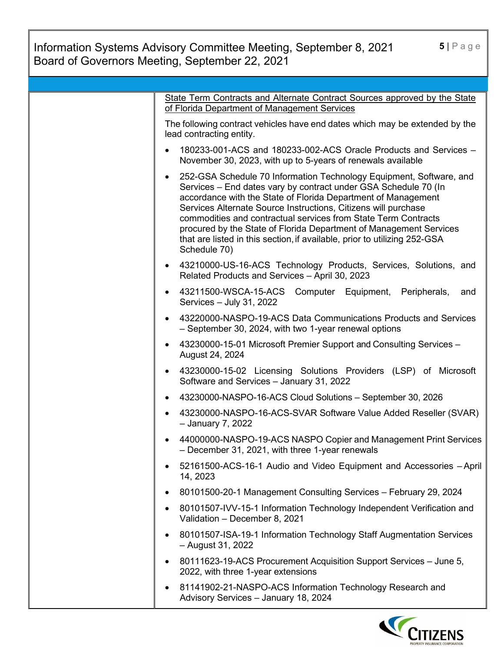Information Systems Advisory Committee Meeting, September 8, 2021 Board of Governors Meeting, September 22, 2021

| State Term Contracts and Alternate Contract Sources approved by the State<br>of Florida Department of Management Services                                                                                                                                                                                                                                                                                                                                                                                           |
|---------------------------------------------------------------------------------------------------------------------------------------------------------------------------------------------------------------------------------------------------------------------------------------------------------------------------------------------------------------------------------------------------------------------------------------------------------------------------------------------------------------------|
| The following contract vehicles have end dates which may be extended by the<br>lead contracting entity.                                                                                                                                                                                                                                                                                                                                                                                                             |
| 180233-001-ACS and 180233-002-ACS Oracle Products and Services -<br>November 30, 2023, with up to 5-years of renewals available                                                                                                                                                                                                                                                                                                                                                                                     |
| 252-GSA Schedule 70 Information Technology Equipment, Software, and<br>٠<br>Services - End dates vary by contract under GSA Schedule 70 (In<br>accordance with the State of Florida Department of Management<br>Services Alternate Source Instructions, Citizens will purchase<br>commodities and contractual services from State Term Contracts<br>procured by the State of Florida Department of Management Services<br>that are listed in this section, if available, prior to utilizing 252-GSA<br>Schedule 70) |
| 43210000-US-16-ACS Technology Products, Services, Solutions, and<br>٠<br>Related Products and Services - April 30, 2023                                                                                                                                                                                                                                                                                                                                                                                             |
| 43211500-WSCA-15-ACS Computer Equipment, Peripherals,<br>and<br>Services - July 31, 2022                                                                                                                                                                                                                                                                                                                                                                                                                            |
| 43220000-NASPO-19-ACS Data Communications Products and Services<br>- September 30, 2024, with two 1-year renewal options                                                                                                                                                                                                                                                                                                                                                                                            |
| 43230000-15-01 Microsoft Premier Support and Consulting Services -<br>٠<br>August 24, 2024                                                                                                                                                                                                                                                                                                                                                                                                                          |
| 43230000-15-02 Licensing Solutions Providers (LSP) of Microsoft<br>Software and Services - January 31, 2022                                                                                                                                                                                                                                                                                                                                                                                                         |
| 43230000-NASPO-16-ACS Cloud Solutions - September 30, 2026                                                                                                                                                                                                                                                                                                                                                                                                                                                          |
| 43230000-NASPO-16-ACS-SVAR Software Value Added Reseller (SVAR)<br>- January 7, 2022                                                                                                                                                                                                                                                                                                                                                                                                                                |
| 44000000-NASPO-19-ACS NASPO Copier and Management Print Services<br>– December 31, 2021, with three 1-year renewals                                                                                                                                                                                                                                                                                                                                                                                                 |
| 52161500-ACS-16-1 Audio and Video Equipment and Accessories - April<br>14, 2023                                                                                                                                                                                                                                                                                                                                                                                                                                     |
| 80101500-20-1 Management Consulting Services - February 29, 2024                                                                                                                                                                                                                                                                                                                                                                                                                                                    |
| 80101507-IVV-15-1 Information Technology Independent Verification and<br>Validation - December 8, 2021                                                                                                                                                                                                                                                                                                                                                                                                              |
| 80101507-ISA-19-1 Information Technology Staff Augmentation Services<br>- August 31, 2022                                                                                                                                                                                                                                                                                                                                                                                                                           |
| 80111623-19-ACS Procurement Acquisition Support Services - June 5,<br>2022, with three 1-year extensions                                                                                                                                                                                                                                                                                                                                                                                                            |
| 81141902-21-NASPO-ACS Information Technology Research and<br>Advisory Services - January 18, 2024                                                                                                                                                                                                                                                                                                                                                                                                                   |

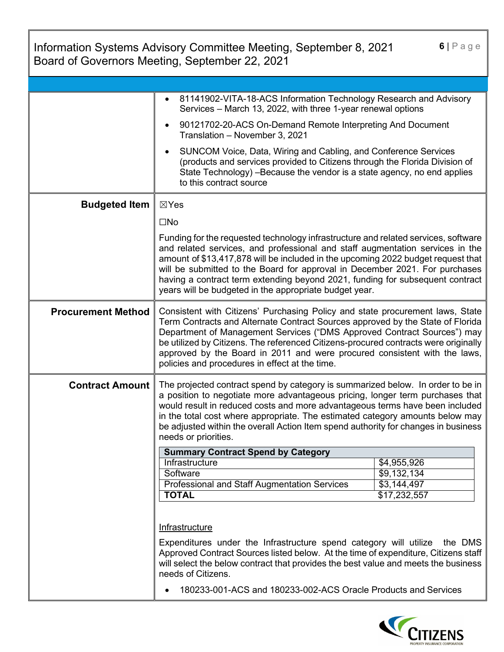|                           | Information Systems Advisory Committee Meeting, September 8, 2021<br>Board of Governors Meeting, September 22, 2021                                                                                                                                                                                                                                                                                                                                                               | $6 P$ age                  |
|---------------------------|-----------------------------------------------------------------------------------------------------------------------------------------------------------------------------------------------------------------------------------------------------------------------------------------------------------------------------------------------------------------------------------------------------------------------------------------------------------------------------------|----------------------------|
|                           |                                                                                                                                                                                                                                                                                                                                                                                                                                                                                   |                            |
|                           | 81141902-VITA-18-ACS Information Technology Research and Advisory<br>Services - March 13, 2022, with three 1-year renewal options                                                                                                                                                                                                                                                                                                                                                 |                            |
|                           | 90121702-20-ACS On-Demand Remote Interpreting And Document<br>$\bullet$<br>Translation - November 3, 2021                                                                                                                                                                                                                                                                                                                                                                         |                            |
|                           | SUNCOM Voice, Data, Wiring and Cabling, and Conference Services<br>$\bullet$<br>(products and services provided to Citizens through the Florida Division of<br>State Technology) - Because the vendor is a state agency, no end applies<br>to this contract source                                                                                                                                                                                                                |                            |
| <b>Budgeted Item</b>      | $\boxtimes$ Yes                                                                                                                                                                                                                                                                                                                                                                                                                                                                   |                            |
|                           | $\square$ No                                                                                                                                                                                                                                                                                                                                                                                                                                                                      |                            |
|                           | Funding for the requested technology infrastructure and related services, software<br>and related services, and professional and staff augmentation services in the<br>amount of \$13,417,878 will be included in the upcoming 2022 budget request that<br>will be submitted to the Board for approval in December 2021. For purchases<br>having a contract term extending beyond 2021, funding for subsequent contract<br>years will be budgeted in the appropriate budget year. |                            |
| <b>Procurement Method</b> | Consistent with Citizens' Purchasing Policy and state procurement laws, State<br>Term Contracts and Alternate Contract Sources approved by the State of Florida<br>Department of Management Services ("DMS Approved Contract Sources") may<br>be utilized by Citizens. The referenced Citizens-procured contracts were originally<br>approved by the Board in 2011 and were procured consistent with the laws,<br>policies and procedures in effect at the time.                  |                            |
| <b>Contract Amount</b>    | The projected contract spend by category is summarized below. In order to be in<br>a position to negotiate more advantageous pricing, longer term purchases that<br>would result in reduced costs and more advantageous terms have been included<br>in the total cost where appropriate. The estimated category amounts below may<br>be adjusted within the overall Action Item spend authority for changes in business<br>needs or priorities.                                   |                            |
|                           | <b>Summary Contract Spend by Category</b>                                                                                                                                                                                                                                                                                                                                                                                                                                         |                            |
|                           | Infrastructure<br>Software                                                                                                                                                                                                                                                                                                                                                                                                                                                        | \$4,955,926                |
|                           | <b>Professional and Staff Augmentation Services</b>                                                                                                                                                                                                                                                                                                                                                                                                                               | \$9,132,134<br>\$3,144,497 |
|                           | <b>TOTAL</b>                                                                                                                                                                                                                                                                                                                                                                                                                                                                      | \$17,232,557               |
|                           | Infrastructure<br>Expenditures under the Infrastructure spend category will utilize<br>Approved Contract Sources listed below. At the time of expenditure, Citizens staff<br>will select the below contract that provides the best value and meets the business<br>needs of Citizens.                                                                                                                                                                                             | the DMS                    |
|                           | 180233-001-ACS and 180233-002-ACS Oracle Products and Services                                                                                                                                                                                                                                                                                                                                                                                                                    |                            |

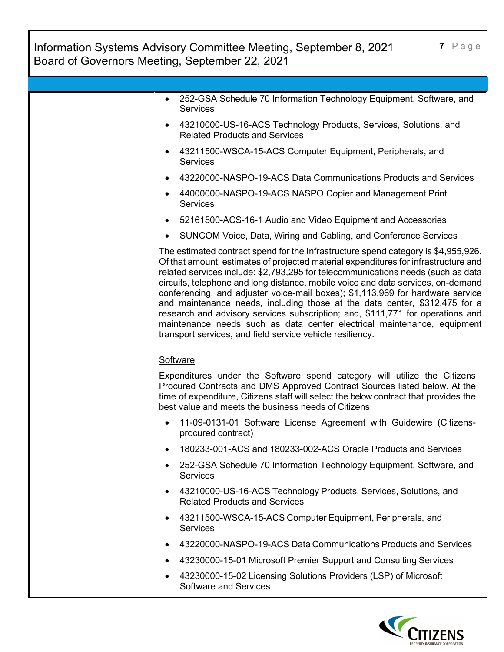| $7   P$ age<br>Information Systems Advisory Committee Meeting, September 8, 2021<br>Board of Governors Meeting, September 22, 2021 |                                                                                                                                                                                                                                                                                                                                                                                                                                                                                                                                                                                                                                                                                                                                             |  |  |
|------------------------------------------------------------------------------------------------------------------------------------|---------------------------------------------------------------------------------------------------------------------------------------------------------------------------------------------------------------------------------------------------------------------------------------------------------------------------------------------------------------------------------------------------------------------------------------------------------------------------------------------------------------------------------------------------------------------------------------------------------------------------------------------------------------------------------------------------------------------------------------------|--|--|
|                                                                                                                                    |                                                                                                                                                                                                                                                                                                                                                                                                                                                                                                                                                                                                                                                                                                                                             |  |  |
|                                                                                                                                    | 252-GSA Schedule 70 Information Technology Equipment, Software, and<br><b>Services</b>                                                                                                                                                                                                                                                                                                                                                                                                                                                                                                                                                                                                                                                      |  |  |
|                                                                                                                                    | 43210000-US-16-ACS Technology Products, Services, Solutions, and<br><b>Related Products and Services</b>                                                                                                                                                                                                                                                                                                                                                                                                                                                                                                                                                                                                                                    |  |  |
|                                                                                                                                    | 43211500-WSCA-15-ACS Computer Equipment, Peripherals, and<br><b>Services</b>                                                                                                                                                                                                                                                                                                                                                                                                                                                                                                                                                                                                                                                                |  |  |
|                                                                                                                                    | 43220000-NASPO-19-ACS Data Communications Products and Services                                                                                                                                                                                                                                                                                                                                                                                                                                                                                                                                                                                                                                                                             |  |  |
|                                                                                                                                    | 44000000-NASPO-19-ACS NASPO Copier and Management Print<br><b>Services</b>                                                                                                                                                                                                                                                                                                                                                                                                                                                                                                                                                                                                                                                                  |  |  |
|                                                                                                                                    | 52161500-ACS-16-1 Audio and Video Equipment and Accessories                                                                                                                                                                                                                                                                                                                                                                                                                                                                                                                                                                                                                                                                                 |  |  |
|                                                                                                                                    | SUNCOM Voice, Data, Wiring and Cabling, and Conference Services<br>٠                                                                                                                                                                                                                                                                                                                                                                                                                                                                                                                                                                                                                                                                        |  |  |
|                                                                                                                                    | The estimated contract spend for the Infrastructure spend category is \$4,955,926.<br>Of that amount, estimates of projected material expenditures for infrastructure and<br>related services include: \$2,793,295 for telecommunications needs (such as data<br>circuits, telephone and long distance, mobile voice and data services, on-demand<br>conferencing, and adjuster voice-mail boxes); \$1,113,969 for hardware service<br>and maintenance needs, including those at the data center, \$312,475 for a<br>research and advisory services subscription; and, \$111,771 for operations and<br>maintenance needs such as data center electrical maintenance, equipment<br>transport services, and field service vehicle resiliency. |  |  |
|                                                                                                                                    | Software                                                                                                                                                                                                                                                                                                                                                                                                                                                                                                                                                                                                                                                                                                                                    |  |  |
|                                                                                                                                    | Expenditures under the Software spend category will utilize the Citizens<br>Procured Contracts and DMS Approved Contract Sources listed below. At the<br>time of expenditure, Citizens staff will select the below contract that provides the<br>best value and meets the business needs of Citizens.                                                                                                                                                                                                                                                                                                                                                                                                                                       |  |  |
|                                                                                                                                    | 11-09-0131-01 Software License Agreement with Guidewire (Citizens-<br>procured contract)                                                                                                                                                                                                                                                                                                                                                                                                                                                                                                                                                                                                                                                    |  |  |
|                                                                                                                                    | 180233-001-ACS and 180233-002-ACS Oracle Products and Services                                                                                                                                                                                                                                                                                                                                                                                                                                                                                                                                                                                                                                                                              |  |  |
|                                                                                                                                    | 252-GSA Schedule 70 Information Technology Equipment, Software, and<br><b>Services</b>                                                                                                                                                                                                                                                                                                                                                                                                                                                                                                                                                                                                                                                      |  |  |
|                                                                                                                                    | 43210000-US-16-ACS Technology Products, Services, Solutions, and<br><b>Related Products and Services</b>                                                                                                                                                                                                                                                                                                                                                                                                                                                                                                                                                                                                                                    |  |  |
|                                                                                                                                    | 43211500-WSCA-15-ACS Computer Equipment, Peripherals, and<br>Services                                                                                                                                                                                                                                                                                                                                                                                                                                                                                                                                                                                                                                                                       |  |  |
|                                                                                                                                    | 43220000-NASPO-19-ACS Data Communications Products and Services                                                                                                                                                                                                                                                                                                                                                                                                                                                                                                                                                                                                                                                                             |  |  |
|                                                                                                                                    | 43230000-15-01 Microsoft Premier Support and Consulting Services                                                                                                                                                                                                                                                                                                                                                                                                                                                                                                                                                                                                                                                                            |  |  |
|                                                                                                                                    | 43230000-15-02 Licensing Solutions Providers (LSP) of Microsoft<br><b>Software and Services</b>                                                                                                                                                                                                                                                                                                                                                                                                                                                                                                                                                                                                                                             |  |  |

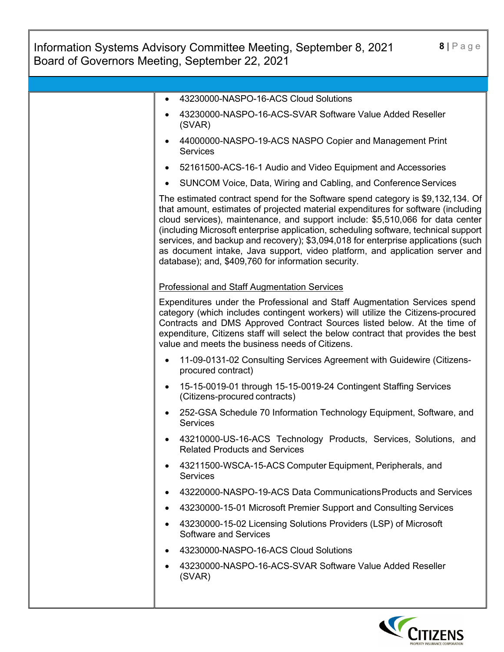| 8 Page<br>Information Systems Advisory Committee Meeting, September 8, 2021<br>Board of Governors Meeting, September 22, 2021 |                                                                                                                                                                                                                                                                                                                                                                                                                                                                                                                                                                           |  |  |
|-------------------------------------------------------------------------------------------------------------------------------|---------------------------------------------------------------------------------------------------------------------------------------------------------------------------------------------------------------------------------------------------------------------------------------------------------------------------------------------------------------------------------------------------------------------------------------------------------------------------------------------------------------------------------------------------------------------------|--|--|
|                                                                                                                               |                                                                                                                                                                                                                                                                                                                                                                                                                                                                                                                                                                           |  |  |
|                                                                                                                               | 43230000-NASPO-16-ACS Cloud Solutions                                                                                                                                                                                                                                                                                                                                                                                                                                                                                                                                     |  |  |
|                                                                                                                               | 43230000-NASPO-16-ACS-SVAR Software Value Added Reseller<br>(SVAR)                                                                                                                                                                                                                                                                                                                                                                                                                                                                                                        |  |  |
|                                                                                                                               | 44000000-NASPO-19-ACS NASPO Copier and Management Print<br><b>Services</b>                                                                                                                                                                                                                                                                                                                                                                                                                                                                                                |  |  |
|                                                                                                                               | 52161500-ACS-16-1 Audio and Video Equipment and Accessories                                                                                                                                                                                                                                                                                                                                                                                                                                                                                                               |  |  |
|                                                                                                                               | SUNCOM Voice, Data, Wiring and Cabling, and Conference Services                                                                                                                                                                                                                                                                                                                                                                                                                                                                                                           |  |  |
|                                                                                                                               | The estimated contract spend for the Software spend category is \$9,132,134. Of<br>that amount, estimates of projected material expenditures for software (including<br>cloud services), maintenance, and support include: \$5,510,066 for data center<br>(including Microsoft enterprise application, scheduling software, technical support<br>services, and backup and recovery); \$3,094,018 for enterprise applications (such<br>as document intake, Java support, video platform, and application server and<br>database); and, \$409,760 for information security. |  |  |
|                                                                                                                               | <b>Professional and Staff Augmentation Services</b>                                                                                                                                                                                                                                                                                                                                                                                                                                                                                                                       |  |  |
|                                                                                                                               | Expenditures under the Professional and Staff Augmentation Services spend<br>category (which includes contingent workers) will utilize the Citizens-procured<br>Contracts and DMS Approved Contract Sources listed below. At the time of<br>expenditure, Citizens staff will select the below contract that provides the best<br>value and meets the business needs of Citizens.                                                                                                                                                                                          |  |  |
|                                                                                                                               | 11-09-0131-02 Consulting Services Agreement with Guidewire (Citizens-<br>procured contract)                                                                                                                                                                                                                                                                                                                                                                                                                                                                               |  |  |
|                                                                                                                               | 15-15-0019-01 through 15-15-0019-24 Contingent Staffing Services<br>(Citizens-procured contracts)                                                                                                                                                                                                                                                                                                                                                                                                                                                                         |  |  |
|                                                                                                                               | 252-GSA Schedule 70 Information Technology Equipment, Software, and<br><b>Services</b>                                                                                                                                                                                                                                                                                                                                                                                                                                                                                    |  |  |
|                                                                                                                               | 43210000-US-16-ACS Technology Products, Services, Solutions, and<br><b>Related Products and Services</b>                                                                                                                                                                                                                                                                                                                                                                                                                                                                  |  |  |
|                                                                                                                               | 43211500-WSCA-15-ACS Computer Equipment, Peripherals, and<br><b>Services</b>                                                                                                                                                                                                                                                                                                                                                                                                                                                                                              |  |  |
|                                                                                                                               | 43220000-NASPO-19-ACS Data Communications Products and Services<br>$\bullet$                                                                                                                                                                                                                                                                                                                                                                                                                                                                                              |  |  |
|                                                                                                                               | 43230000-15-01 Microsoft Premier Support and Consulting Services                                                                                                                                                                                                                                                                                                                                                                                                                                                                                                          |  |  |
|                                                                                                                               | 43230000-15-02 Licensing Solutions Providers (LSP) of Microsoft<br>٠<br><b>Software and Services</b>                                                                                                                                                                                                                                                                                                                                                                                                                                                                      |  |  |
|                                                                                                                               | 43230000-NASPO-16-ACS Cloud Solutions<br>$\bullet$                                                                                                                                                                                                                                                                                                                                                                                                                                                                                                                        |  |  |
|                                                                                                                               | 43230000-NASPO-16-ACS-SVAR Software Value Added Reseller<br>(SVAR)                                                                                                                                                                                                                                                                                                                                                                                                                                                                                                        |  |  |
|                                                                                                                               |                                                                                                                                                                                                                                                                                                                                                                                                                                                                                                                                                                           |  |  |

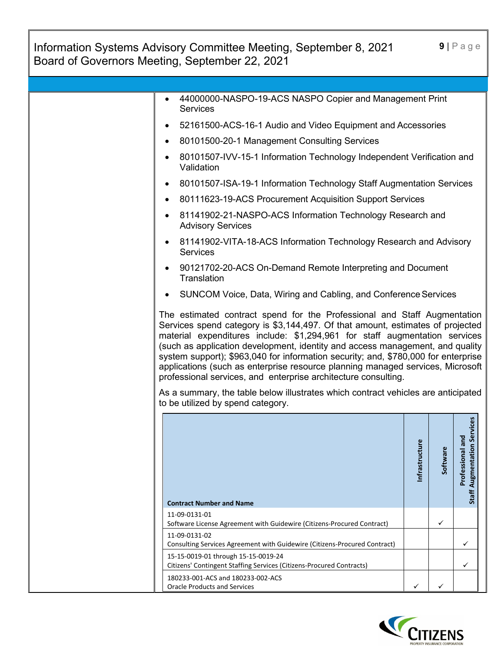| Information Systems Advisory Committee Meeting, September 8, 2021<br>Board of Governors Meeting, September 22, 2021                                                                                                                                                                                                                                                                                                                                                                                                                                                 |               |          | $9   P \text{age}$                                     |
|---------------------------------------------------------------------------------------------------------------------------------------------------------------------------------------------------------------------------------------------------------------------------------------------------------------------------------------------------------------------------------------------------------------------------------------------------------------------------------------------------------------------------------------------------------------------|---------------|----------|--------------------------------------------------------|
|                                                                                                                                                                                                                                                                                                                                                                                                                                                                                                                                                                     |               |          |                                                        |
| 44000000-NASPO-19-ACS NASPO Copier and Management Print<br><b>Services</b>                                                                                                                                                                                                                                                                                                                                                                                                                                                                                          |               |          |                                                        |
| 52161500-ACS-16-1 Audio and Video Equipment and Accessories                                                                                                                                                                                                                                                                                                                                                                                                                                                                                                         |               |          |                                                        |
| 80101500-20-1 Management Consulting Services                                                                                                                                                                                                                                                                                                                                                                                                                                                                                                                        |               |          |                                                        |
| 80101507-IVV-15-1 Information Technology Independent Verification and<br>Validation                                                                                                                                                                                                                                                                                                                                                                                                                                                                                 |               |          |                                                        |
| 80101507-ISA-19-1 Information Technology Staff Augmentation Services                                                                                                                                                                                                                                                                                                                                                                                                                                                                                                |               |          |                                                        |
| 80111623-19-ACS Procurement Acquisition Support Services                                                                                                                                                                                                                                                                                                                                                                                                                                                                                                            |               |          |                                                        |
| 81141902-21-NASPO-ACS Information Technology Research and<br><b>Advisory Services</b>                                                                                                                                                                                                                                                                                                                                                                                                                                                                               |               |          |                                                        |
| 81141902-VITA-18-ACS Information Technology Research and Advisory<br><b>Services</b>                                                                                                                                                                                                                                                                                                                                                                                                                                                                                |               |          |                                                        |
| 90121702-20-ACS On-Demand Remote Interpreting and Document<br>Translation                                                                                                                                                                                                                                                                                                                                                                                                                                                                                           |               |          |                                                        |
| SUNCOM Voice, Data, Wiring and Cabling, and Conference Services                                                                                                                                                                                                                                                                                                                                                                                                                                                                                                     |               |          |                                                        |
| The estimated contract spend for the Professional and Staff Augmentation<br>Services spend category is \$3,144,497. Of that amount, estimates of projected<br>material expenditures include: \$1,294,961 for staff augmentation services<br>(such as application development, identity and access management, and quality<br>system support); \$963,040 for information security; and, \$780,000 for enterprise<br>applications (such as enterprise resource planning managed services, Microsoft<br>professional services, and enterprise architecture consulting. |               |          |                                                        |
| As a summary, the table below illustrates which contract vehicles are anticipated<br>to be utilized by spend category.                                                                                                                                                                                                                                                                                                                                                                                                                                              |               |          |                                                        |
|                                                                                                                                                                                                                                                                                                                                                                                                                                                                                                                                                                     |               |          |                                                        |
|                                                                                                                                                                                                                                                                                                                                                                                                                                                                                                                                                                     | nfrastructure | Software | <b>Staff Augmentation Services</b><br>Professional and |
| <b>Contract Number and Name</b>                                                                                                                                                                                                                                                                                                                                                                                                                                                                                                                                     |               |          |                                                        |
| 11-09-0131-01<br>Software License Agreement with Guidewire (Citizens-Procured Contract)                                                                                                                                                                                                                                                                                                                                                                                                                                                                             |               | ✓        |                                                        |
| 11-09-0131-02<br>Consulting Services Agreement with Guidewire (Citizens-Procured Contract)                                                                                                                                                                                                                                                                                                                                                                                                                                                                          |               |          | ✓                                                      |
| 15-15-0019-01 through 15-15-0019-24                                                                                                                                                                                                                                                                                                                                                                                                                                                                                                                                 |               |          | ✓                                                      |
| Citizens' Contingent Staffing Services (Citizens-Procured Contracts)<br>180233-001-ACS and 180233-002-ACS<br><b>Oracle Products and Services</b>                                                                                                                                                                                                                                                                                                                                                                                                                    | ✓             |          |                                                        |

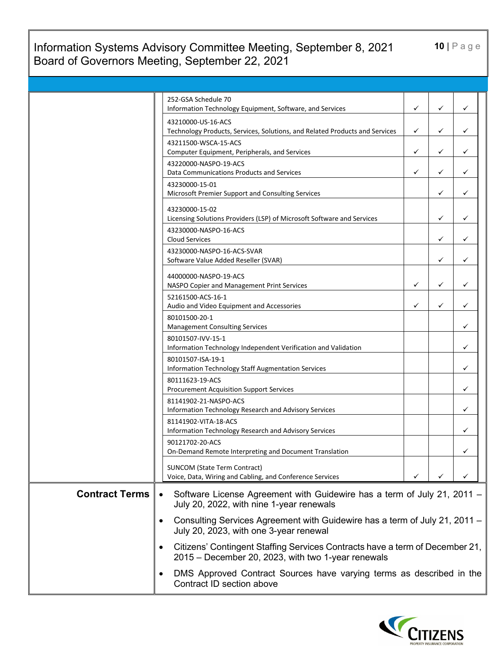### Information Systems Advisory Committee Meeting, September 8, 2021 Board of Governors Meeting, September 22, 2021

**10** | Page

|                       | 252-GSA Schedule 70<br>Information Technology Equipment, Software, and Services                                                                 | ✓ | ✓ | ✓ |
|-----------------------|-------------------------------------------------------------------------------------------------------------------------------------------------|---|---|---|
|                       | 43210000-US-16-ACS                                                                                                                              |   |   |   |
|                       | Technology Products, Services, Solutions, and Related Products and Services                                                                     | ✓ | ✓ | ✓ |
|                       | 43211500-WSCA-15-ACS                                                                                                                            |   |   |   |
|                       | Computer Equipment, Peripherals, and Services                                                                                                   | ✓ | ✓ | ✓ |
|                       | 43220000-NASPO-19-ACS                                                                                                                           |   |   |   |
|                       | Data Communications Products and Services                                                                                                       | ✓ | ✓ | ✓ |
|                       | 43230000-15-01<br>Microsoft Premier Support and Consulting Services                                                                             |   | ✓ | ✓ |
|                       |                                                                                                                                                 |   |   |   |
|                       | 43230000-15-02<br>Licensing Solutions Providers (LSP) of Microsoft Software and Services                                                        |   | ✓ | ✓ |
|                       | 43230000-NASPO-16-ACS                                                                                                                           |   |   |   |
|                       | <b>Cloud Services</b>                                                                                                                           |   | ✓ | ✓ |
|                       | 43230000-NASPO-16-ACS-SVAR                                                                                                                      |   |   |   |
|                       | Software Value Added Reseller (SVAR)                                                                                                            |   | ✓ | ✓ |
|                       | 44000000-NASPO-19-ACS                                                                                                                           |   |   |   |
|                       | NASPO Copier and Management Print Services                                                                                                      | ✓ | ✓ | ✓ |
|                       | 52161500-ACS-16-1                                                                                                                               |   |   |   |
|                       | Audio and Video Equipment and Accessories                                                                                                       | ✓ | ✓ | ✓ |
|                       | 80101500-20-1<br><b>Management Consulting Services</b>                                                                                          |   |   | ✓ |
|                       | 80101507-IVV-15-1                                                                                                                               |   |   |   |
|                       | Information Technology Independent Verification and Validation                                                                                  |   |   | ✓ |
|                       | 80101507-ISA-19-1                                                                                                                               |   |   |   |
|                       | <b>Information Technology Staff Augmentation Services</b>                                                                                       |   |   | ✓ |
|                       | 80111623-19-ACS                                                                                                                                 |   |   | ✓ |
|                       | <b>Procurement Acquisition Support Services</b><br>81141902-21-NASPO-ACS                                                                        |   |   |   |
|                       | Information Technology Research and Advisory Services                                                                                           |   |   | ✓ |
|                       | 81141902-VITA-18-ACS                                                                                                                            |   |   |   |
|                       | Information Technology Research and Advisory Services                                                                                           |   |   | ✓ |
|                       | 90121702-20-ACS                                                                                                                                 |   |   |   |
|                       | On-Demand Remote Interpreting and Document Translation                                                                                          |   |   |   |
|                       | <b>SUNCOM (State Term Contract)</b>                                                                                                             |   |   |   |
|                       | Voice, Data, Wiring and Cabling, and Conference Services                                                                                        | ✓ |   |   |
| <b>Contract Terms</b> | Software License Agreement with Guidewire has a term of July 21, 2011 -<br>$\bullet$<br>July 20, 2022, with nine 1-year renewals                |   |   |   |
|                       | Consulting Services Agreement with Guidewire has a term of July 21, 2011 -<br>$\bullet$<br>July 20, 2023, with one 3-year renewal               |   |   |   |
|                       | Citizens' Contingent Staffing Services Contracts have a term of December 21,<br>$\bullet$<br>2015 – December 20, 2023, with two 1-year renewals |   |   |   |
|                       | DMS Approved Contract Sources have varying terms as described in the<br>٠<br>Contract ID section above                                          |   |   |   |